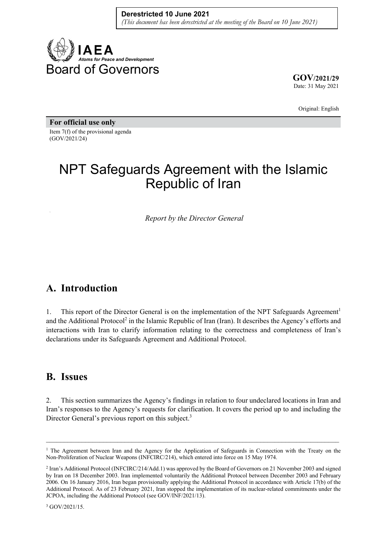

**GOV/2021/29** Date: 31 May 2021

Original: English

**For official use only**  Item 7(f) of the provisional agenda (GOV/2021/24)

# NPT Safeguards Agreement with the Islamic Republic of Iran

*Report by the Director General* 

## **A. Introduction**

1. This report of the Director General is on the implementation of the NPT Safeguards Agreement<sup>1</sup> and the Additional Protocol<sup>2</sup> in the Islamic Republic of Iran (Iran). It describes the Agency's efforts and interactions with Iran to clarify information relating to the correctness and completeness of Iran's declarations under its Safeguards Agreement and Additional Protocol.

## **B. Issues**

2. This section summarizes the Agency's findings in relation to four undeclared locations in Iran and Iran's responses to the Agency's requests for clarification. It covers the period up to and including the Director General's previous report on this subject.<sup>3</sup>

 $\mathcal{L}_\mathcal{L} = \{ \mathcal{L}_\mathcal{L} = \{ \mathcal{L}_\mathcal{L} = \{ \mathcal{L}_\mathcal{L} = \{ \mathcal{L}_\mathcal{L} = \{ \mathcal{L}_\mathcal{L} = \{ \mathcal{L}_\mathcal{L} = \{ \mathcal{L}_\mathcal{L} = \{ \mathcal{L}_\mathcal{L} = \{ \mathcal{L}_\mathcal{L} = \{ \mathcal{L}_\mathcal{L} = \{ \mathcal{L}_\mathcal{L} = \{ \mathcal{L}_\mathcal{L} = \{ \mathcal{L}_\mathcal{L} = \{ \mathcal{L}_\mathcal{$ 

<sup>&</sup>lt;sup>1</sup> The Agreement between Iran and the Agency for the Application of Safeguards in Connection with the Treaty on the Non-Proliferation of Nuclear Weapons (INFCIRC/214), which entered into force on 15 May 1974.

<sup>2</sup> Iran's Additional Protocol (INFCIRC/214/Add.1) was approved by the Board of Governors on 21 November 2003 and signed by Iran on 18 December 2003. Iran implemented voluntarily the Additional Protocol between December 2003 and February 2006. On 16 January 2016, Iran began provisionally applying the Additional Protocol in accordance with Article 17(b) of the Additional Protocol. As of 23 February 2021, Iran stopped the implementation of its nuclear-related commitments under the JCPOA, including the Additional Protocol (see GOV/INF/2021/13).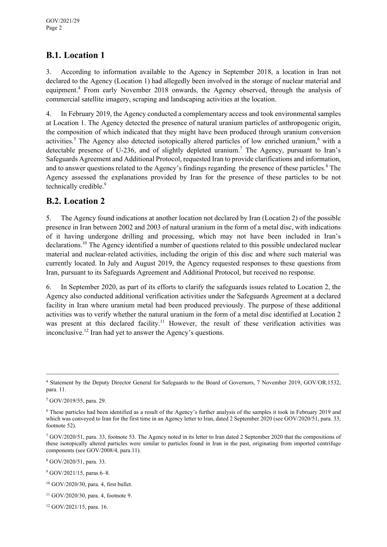#### **B.1. Location 1**

3. According to information available to the Agency in September 2018, a location in Iran not declared to the Agency (Location 1) had allegedly been involved in the storage of nuclear material and equipment.<sup>4</sup> From early November 2018 onwards, the Agency observed, through the analysis of commercial satellite imagery, scraping and landscaping activities at the location.

4. In February 2019, the Agency conducted a complementary access and took environmental samples at Location 1. The Agency detected the presence of natural uranium particles of anthropogenic origin, the composition of which indicated that they might have been produced through uranium conversion activities.<sup>5</sup> The Agency also detected isotopically altered particles of low enriched uranium,<sup>6</sup> with a detectable presence of U-236, and of slightly depleted uranium.<sup>7</sup> The Agency, pursuant to Iran's Safeguards Agreement and Additional Protocol, requested Iran to provide clarifications and information, and to answer questions related to the Agency's findings regarding the presence of these particles.<sup>8</sup> The Agency assessed the explanations provided by Iran for the presence of these particles to be not technically credible.<sup>9</sup>

#### **B.2. Location 2**

5. The Agency found indications at another location not declared by Iran (Location 2) of the possible presence in Iran between 2002 and 2003 of natural uranium in the form of a metal disc, with indications of it having undergone drilling and processing, which may not have been included in Iran's declarations.10 The Agency identified a number of questions related to this possible undeclared nuclear material and nuclear-related activities, including the origin of this disc and where such material was currently located. In July and August 2019, the Agency requested responses to these questions from Iran, pursuant to its Safeguards Agreement and Additional Protocol, but received no response.

6. In September 2020, as part of its efforts to clarify the safeguards issues related to Location 2, the Agency also conducted additional verification activities under the Safeguards Agreement at a declared facility in Iran where uranium metal had been produced previously. The purpose of these additional activities was to verify whether the natural uranium in the form of a metal disc identified at Location 2 was present at this declared facility.<sup>11</sup> However, the result of these verification activities was inconclusive.12 Iran had yet to answer the Agency's questions.

 $\_$  , and the contribution of the contribution of the contribution of the contribution of  $\mathcal{L}_\text{max}$ 

8 GOV/2020/51, para. 33.

9 GOV/2021/15, paras 6–8.

<sup>4</sup> Statement by the Deputy Director General for Safeguards to the Board of Governors, 7 November 2019, GOV/OR.1532, para. 11.

<sup>5</sup> GOV/2019/55, para. 29.

<sup>6</sup> These particles had been identified as a result of the Agency's further analysis of the samples it took in February 2019 and which was conveyed to Iran for the first time in an Agency letter to Iran, dated 2 September 2020 (see GOV/2020/51, para. 33, footnote 52).

<sup>7</sup> GOV/2020/51, para. 33, footnote 53. The Agency noted in its letter to Iran dated 2 September 2020 that the compositions of these isotopically altered particles were similar to particles found in Iran in the past, originating from imported centrifuge components (see GOV/2008/4, para.11).

<sup>10</sup> GOV/2020/30, para. 4, first bullet.

<sup>11</sup> GOV/2020/30, para. 4, footnote 9.

<sup>12</sup> GOV/2021/15, para. 16.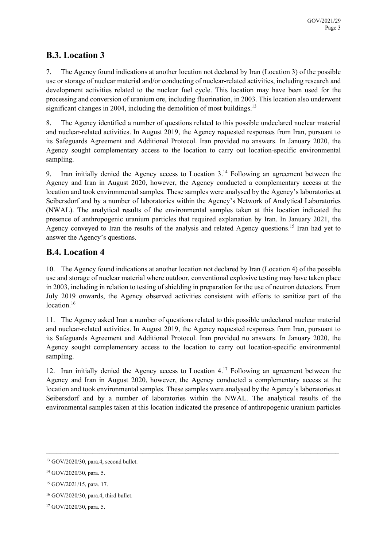#### **B.3. Location 3**

7. The Agency found indications at another location not declared by Iran (Location 3) of the possible use or storage of nuclear material and/or conducting of nuclear-related activities, including research and development activities related to the nuclear fuel cycle. This location may have been used for the processing and conversion of uranium ore, including fluorination, in 2003. This location also underwent significant changes in 2004, including the demolition of most buildings.<sup>13</sup>

8. The Agency identified a number of questions related to this possible undeclared nuclear material and nuclear-related activities. In August 2019, the Agency requested responses from Iran, pursuant to its Safeguards Agreement and Additional Protocol. Iran provided no answers. In January 2020, the Agency sought complementary access to the location to carry out location-specific environmental sampling.

9. Iran initially denied the Agency access to Location  $3<sup>14</sup>$  Following an agreement between the Agency and Iran in August 2020, however, the Agency conducted a complementary access at the location and took environmental samples. These samples were analysed by the Agency's laboratories at Seibersdorf and by a number of laboratories within the Agency's Network of Analytical Laboratories (NWAL). The analytical results of the environmental samples taken at this location indicated the presence of anthropogenic uranium particles that required explanation by Iran. In January 2021, the Agency conveyed to Iran the results of the analysis and related Agency questions.<sup>15</sup> Iran had yet to answer the Agency's questions.

#### **B.4. Location 4**

10. The Agency found indications at another location not declared by Iran (Location 4) of the possible use and storage of nuclear material where outdoor, conventional explosive testing may have taken place in 2003, including in relation to testing of shielding in preparation for the use of neutron detectors. From July 2019 onwards, the Agency observed activities consistent with efforts to sanitize part of the location.<sup>16</sup>

11. The Agency asked Iran a number of questions related to this possible undeclared nuclear material and nuclear-related activities. In August 2019, the Agency requested responses from Iran, pursuant to its Safeguards Agreement and Additional Protocol. Iran provided no answers. In January 2020, the Agency sought complementary access to the location to carry out location-specific environmental sampling.

12. Iran initially denied the Agency access to Location  $4<sup>17</sup>$  Following an agreement between the Agency and Iran in August 2020, however, the Agency conducted a complementary access at the location and took environmental samples. These samples were analysed by the Agency's laboratories at Seibersdorf and by a number of laboratories within the NWAL. The analytical results of the environmental samples taken at this location indicated the presence of anthropogenic uranium particles

 $\mathcal{L}_\mathcal{L} = \{ \mathcal{L}_\mathcal{L} = \{ \mathcal{L}_\mathcal{L} = \{ \mathcal{L}_\mathcal{L} = \{ \mathcal{L}_\mathcal{L} = \{ \mathcal{L}_\mathcal{L} = \{ \mathcal{L}_\mathcal{L} = \{ \mathcal{L}_\mathcal{L} = \{ \mathcal{L}_\mathcal{L} = \{ \mathcal{L}_\mathcal{L} = \{ \mathcal{L}_\mathcal{L} = \{ \mathcal{L}_\mathcal{L} = \{ \mathcal{L}_\mathcal{L} = \{ \mathcal{L}_\mathcal{L} = \{ \mathcal{L}_\mathcal{$ 

<sup>13</sup> GOV/2020/30, para.4, second bullet.

<sup>14</sup> GOV/2020/30, para. 5.

<sup>15</sup> GOV/2021/15, para. 17.

<sup>16</sup> GOV/2020/30, para.4, third bullet.

<sup>17</sup> GOV/2020/30, para. 5.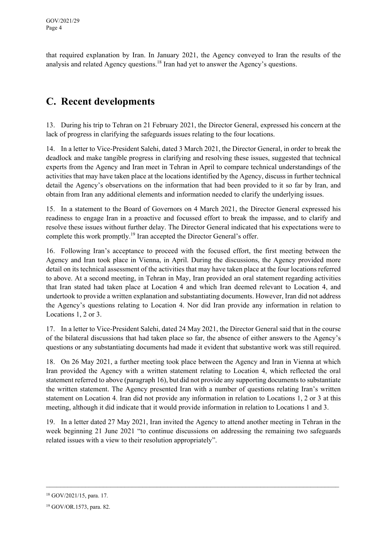that required explanation by Iran. In January 2021, the Agency conveyed to Iran the results of the analysis and related Agency questions.<sup>18</sup> Iran had yet to answer the Agency's questions.

# **C. Recent developments**

13. During his trip to Tehran on 21 February 2021, the Director General, expressed his concern at the lack of progress in clarifying the safeguards issues relating to the four locations.

14. In a letter to Vice-President Salehi, dated 3 March 2021, the Director General, in order to break the deadlock and make tangible progress in clarifying and resolving these issues, suggested that technical experts from the Agency and Iran meet in Tehran in April to compare technical understandings of the activities that may have taken place at the locations identified by the Agency, discuss in further technical detail the Agency's observations on the information that had been provided to it so far by Iran, and obtain from Iran any additional elements and information needed to clarify the underlying issues.

15. In a statement to the Board of Governors on 4 March 2021, the Director General expressed his readiness to engage Iran in a proactive and focussed effort to break the impasse, and to clarify and resolve these issues without further delay. The Director General indicated that his expectations were to complete this work promptly.<sup>19</sup> Iran accepted the Director General's offer.

16. Following Iran's acceptance to proceed with the focused effort, the first meeting between the Agency and Iran took place in Vienna, in April. During the discussions, the Agency provided more detail on its technical assessment of the activities that may have taken place at the four locations referred to above. At a second meeting, in Tehran in May, Iran provided an oral statement regarding activities that Iran stated had taken place at Location 4 and which Iran deemed relevant to Location 4, and undertook to provide a written explanation and substantiating documents. However, Iran did not address the Agency's questions relating to Location 4. Nor did Iran provide any information in relation to Locations 1, 2 or 3.

17. In a letter to Vice-President Salehi, dated 24 May 2021, the Director General said that in the course of the bilateral discussions that had taken place so far, the absence of either answers to the Agency's questions or any substantiating documents had made it evident that substantive work was still required.

18. On 26 May 2021, a further meeting took place between the Agency and Iran in Vienna at which Iran provided the Agency with a written statement relating to Location 4, which reflected the oral statement referred to above (paragraph 16), but did not provide any supporting documents to substantiate the written statement. The Agency presented Iran with a number of questions relating Iran's written statement on Location 4. Iran did not provide any information in relation to Locations 1, 2 or 3 at this meeting, although it did indicate that it would provide information in relation to Locations 1 and 3.

19. In a letter dated 27 May 2021, Iran invited the Agency to attend another meeting in Tehran in the week beginning 21 June 2021 "to continue discussions on addressing the remaining two safeguards related issues with a view to their resolution appropriately".

 $\_$  , and the contribution of the contribution of the contribution of the contribution of  $\mathcal{L}_\text{max}$ 

<sup>18</sup> GOV/2021/15, para. 17.

<sup>19</sup> GOV/OR.1573, para. 82.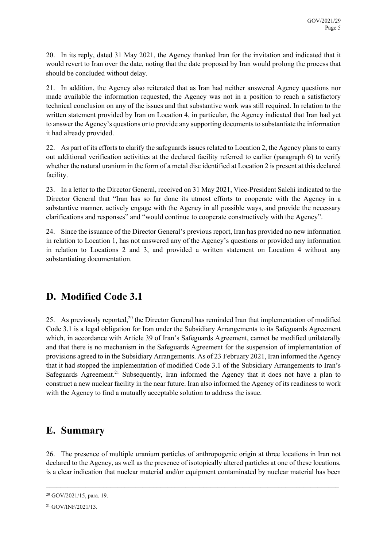20. In its reply, dated 31 May 2021, the Agency thanked Iran for the invitation and indicated that it would revert to Iran over the date, noting that the date proposed by Iran would prolong the process that should be concluded without delay.

21. In addition, the Agency also reiterated that as Iran had neither answered Agency questions nor made available the information requested, the Agency was not in a position to reach a satisfactory technical conclusion on any of the issues and that substantive work was still required. In relation to the written statement provided by Iran on Location 4, in particular, the Agency indicated that Iran had yet to answer the Agency's questions or to provide any supporting documents to substantiate the information it had already provided.

22. As part of its efforts to clarify the safeguards issues related to Location 2, the Agency plans to carry out additional verification activities at the declared facility referred to earlier (paragraph 6) to verify whether the natural uranium in the form of a metal disc identified at Location 2 is present at this declared facility.

23. In a letter to the Director General, received on 31 May 2021, Vice-President Salehi indicated to the Director General that "Iran has so far done its utmost efforts to cooperate with the Agency in a substantive manner, actively engage with the Agency in all possible ways, and provide the necessary clarifications and responses" and "would continue to cooperate constructively with the Agency".

24. Since the issuance of the Director General's previous report, Iran has provided no new information in relation to Location 1, has not answered any of the Agency's questions or provided any information in relation to Locations 2 and 3, and provided a written statement on Location 4 without any substantiating documentation.

# **D. Modified Code 3.1**

25. As previously reported,<sup>20</sup> the Director General has reminded Iran that implementation of modified Code 3.1 is a legal obligation for Iran under the Subsidiary Arrangements to its Safeguards Agreement which, in accordance with Article 39 of Iran's Safeguards Agreement, cannot be modified unilaterally and that there is no mechanism in the Safeguards Agreement for the suspension of implementation of provisions agreed to in the Subsidiary Arrangements. As of 23 February 2021, Iran informed the Agency that it had stopped the implementation of modified Code 3.1 of the Subsidiary Arrangements to Iran's Safeguards Agreement.<sup>21</sup> Subsequently, Iran informed the Agency that it does not have a plan to construct a new nuclear facility in the near future. Iran also informed the Agency of its readiness to work with the Agency to find a mutually acceptable solution to address the issue.

## **E. Summary**

26. The presence of multiple uranium particles of anthropogenic origin at three locations in Iran not declared to the Agency, as well as the presence of isotopically altered particles at one of these locations, is a clear indication that nuclear material and/or equipment contaminated by nuclear material has been

 $\_$  , and the contribution of the contribution of the contribution of the contribution of the contribution of  $\mathcal{L}_\text{max}$ 

<sup>20</sup> GOV/2021/15, para. 19.

<sup>21</sup> GOV/INF/2021/13.